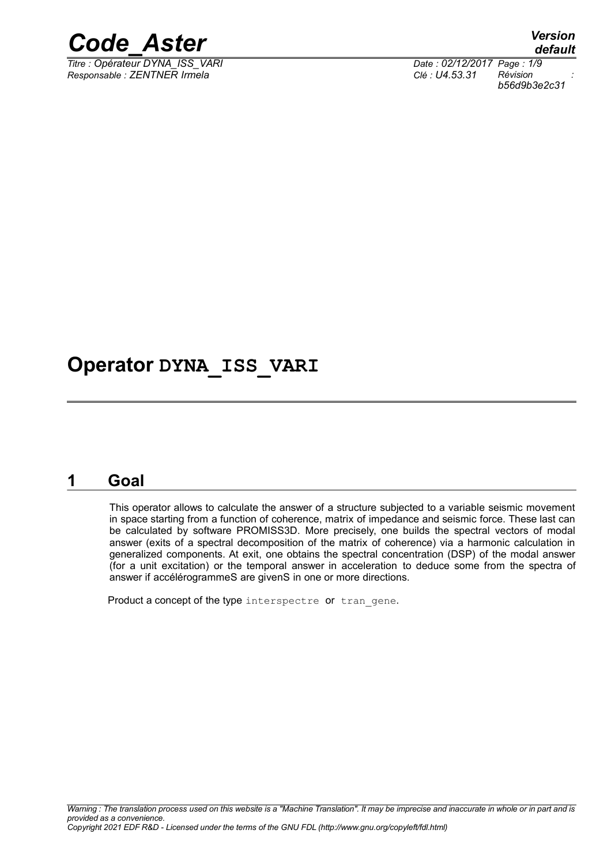

*<i>Titre : Opérateur DYNA\_ISS\_VARI Responsable : ZENTNER Irmela Clé : U4.53.31 Révision :*

*default b56d9b3e2c31*

## **Operator DYNA\_ISS\_VARI**

## **1 Goal**

This operator allows to calculate the answer of a structure subjected to a variable seismic movement in space starting from a function of coherence, matrix of impedance and seismic force. These last can be calculated by software PROMISS3D. More precisely, one builds the spectral vectors of modal answer (exits of a spectral decomposition of the matrix of coherence) via a harmonic calculation in generalized components. At exit, one obtains the spectral concentration (DSP) of the modal answer (for a unit excitation) or the temporal answer in acceleration to deduce some from the spectra of answer if accélérogrammeS are givenS in one or more directions.

Product a concept of the type interspectre or tran gene.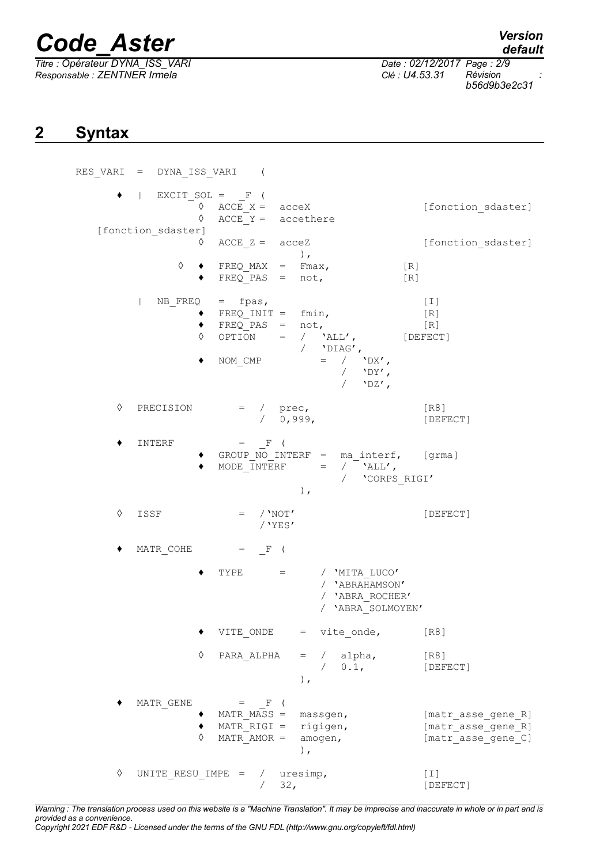*Titre : Opérateur DYNA\_ISS\_VARI Date : 02/12/2017 Page : 2/9 Responsable : ZENTNER Irmela Clé : U4.53.31 Révision :*

*default*

*b56d9b3e2c31*

## **2 Syntax**

|   |      |                         | $RES_VARI = DYNA_IISS_VARI$ (                                                        |                                                                                                                                                                                     |                                                                |
|---|------|-------------------------|--------------------------------------------------------------------------------------|-------------------------------------------------------------------------------------------------------------------------------------------------------------------------------------|----------------------------------------------------------------|
|   |      | ♦<br>[fonction sdaster] | $\bullet$   EXCIT SOL = $_F$ (<br>$\Diamond$ ACCE $X =$ acceX<br>$ACCE Y = accether$ |                                                                                                                                                                                     | [fonction_sdaster]                                             |
|   |      | ♦                       | $ACCE \, Z = \, acceZ$                                                               | $\,$ ,                                                                                                                                                                              | [fonction sdaster]                                             |
|   |      | ♦                       | $\bullet$ FREQ_MAX = Fmax,<br>$FREQ PAS = not,$                                      |                                                                                                                                                                                     | [R]<br>[R]                                                     |
|   |      | ٠                       | $NB$ FREQ = fpas,                                                                    | → FREQ_INIT = fmin, [R]<br>→ FREQ_PAS = not, [R]<br>→ FREQ_PAS = not, [R]<br>→ OPTION = / `ALL', [DEFECT]<br>/ 'DIAG',<br>NOM CMP $=$ / $'DX'$ ,<br>/ $'$ $'$ $DY'$ ,<br>/ $'$ DZ', | [I]                                                            |
| ♦ |      | PRECISION               | $=$ / $prec,$<br>/ 0,999,                                                            |                                                                                                                                                                                     | [R8]<br>[DEFECT]                                               |
|   |      | INTERF                  | $=$ F (                                                                              | ◆ GROUP_NO_INTERF = ma_interf, [grma]<br>$\texttt{MODE\_INTERF} \hspace{1.5cm} = \hspace{1.5cm} / \hspace{1.5cm} \texttt{YALL} \; ,$<br>/ 'CORPS_RIGI'<br>$\,$ ,                    |                                                                |
| ♦ | ISSF |                         | $=$ / $'NOT'$<br>/ $YES'$                                                            |                                                                                                                                                                                     | [DEFECT]                                                       |
|   |      |                         | $\mathtt{MATR\_COHE} \qquad = \quad \_ \mathtt{F} \quad ($                           |                                                                                                                                                                                     |                                                                |
|   |      |                         |                                                                                      | TYPE = $/$ 'MITA LUCO'<br>/ 'ABRAHAMSON'<br>/ 'ABRA ROCHER'<br>/ 'ABRA SOLMOYEN'                                                                                                    |                                                                |
|   |      |                         | VITE ONDE                                                                            | $=$ $\qquad$<br>vite_onde,                                                                                                                                                          | [R8]                                                           |
|   |      | $\Diamond$              | PARA ALPHA                                                                           | alpha,<br>$\sqrt{2}$<br>$=$<br>0.1,<br>$)$ ,                                                                                                                                        | [R8]<br>[DEFECT]                                               |
|   |      | MATR GENE<br>♦          | $=$ F (<br>MATR MASS $=$<br>$MATR RIGI =$<br>$MATR AMOR =$                           | massgen,<br>rigigen,<br>amogen,<br>$\,$ ,                                                                                                                                           | [matr_asse_gene_R]<br>[matr_asse_gene_R]<br>[matr_asse_gene_C] |
| ♦ |      | UNITE RESU IMPE =       | $\sqrt{2}$<br>32,                                                                    | uresimp,                                                                                                                                                                            | $[1]$<br>[DEFECT]                                              |

*Warning : The translation process used on this website is a "Machine Translation". It may be imprecise and inaccurate in whole or in part and is provided as a convenience. Copyright 2021 EDF R&D - Licensed under the terms of the GNU FDL (http://www.gnu.org/copyleft/fdl.html)*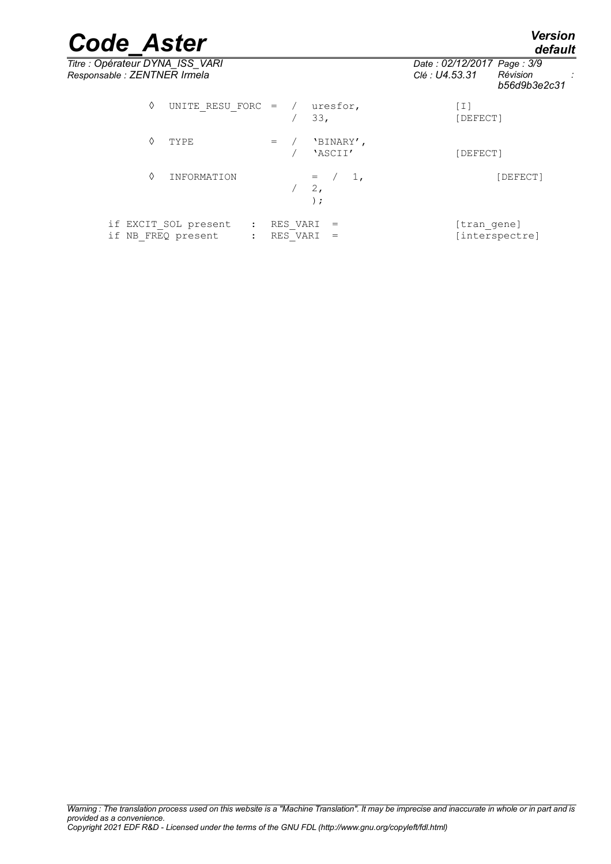*default*

# *Code\_Aster Version*

*Titre : Opérateur DYNA\_ISS\_VARI Date : 02/12/2017 Page : 3/9 Responsable : ZENTNER Irmela Clé : U4.53.31 Révision :*

*b56d9b3e2c31*

| ♦ | UNITE RESU FORC = $/$ uresfor,                                                       |     |                      | 33.                              | [I]<br>[DEFECT]               |
|---|--------------------------------------------------------------------------------------|-----|----------------------|----------------------------------|-------------------------------|
| ♦ | TYPE                                                                                 | $=$ |                      | 'BINARY',<br>'ASCII'             | [DEFECT]                      |
| ♦ | INFORMATION                                                                          |     |                      | $1$ ,<br>$=$<br>$2$ ,<br>$\cdot$ | [DEFECT]                      |
|   | if EXCIT SOL present<br>$\ddot{\cdot}$<br>if NB FREQ present<br>$\ddot{\phantom{a}}$ |     | RES VARI<br>RES VARI | $=$                              | [tran_gene]<br>[interspectre] |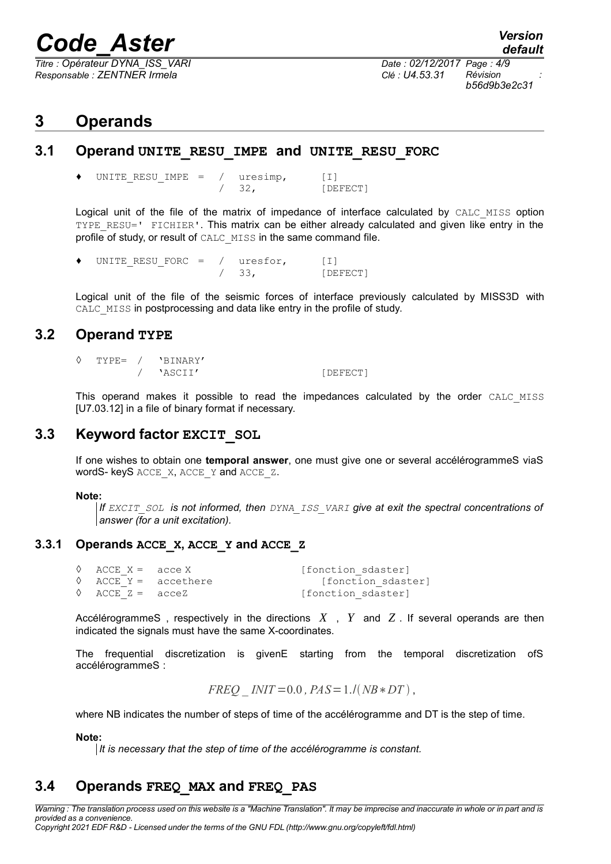*<i>Titre : Opérateur DYNA\_ISS\_VARI Responsable : ZENTNER Irmela Clé : U4.53.31 Révision :*

*b56d9b3e2c31*

## **3 Operands**

#### **3.1 Operand UNITE\_RESU\_IMPE and UNITE\_RESU\_FORC**

UNITE RESU IMPE =  $/$  uresimp, [I] / 32, [DEFECT]

Logical unit of the file of the matrix of impedance of interface calculated by CALC MISS option TYPE\_RESU=' FICHIER'. This matrix can be either already calculated and given like entry in the profile of study, or result of CALC MISS in the same command file.

UNITE RESU FORC =  $/$  uresfor, [I] / 33, [DEFECT]

Logical unit of the file of the seismic forces of interface previously calculated by MISS3D with CALC MISS in postprocessing and data like entry in the profile of study.

#### **3.2 Operand TYPE**

TYPE= / 'BINARY' / 'ASCII' [DEFECT]

This operand makes it possible to read the impedances calculated by the order CALC MISS [U7.03.12] in a file of binary format if necessary.

### **3.3 Keyword factor EXCIT\_SOL**

If one wishes to obtain one **temporal answer**, one must give one or several accélérogrammeS viaS wordS- keyS ACCE\_X, ACCE\_Y and ACCE\_Z.

#### **Note:**

*If EXCIT\_SOL is not informed, then DYNA\_ISS\_VARI give at exit the spectral concentrations of answer (for a unit excitation).*

#### **3.3.1 Operands ACCE\_X, ACCE\_Y and ACCE\_Z**

| $\Diamond$ ACCE X = acce X  |                               | [fonction sdaster] |
|-----------------------------|-------------------------------|--------------------|
|                             | $\Diamond$ ACCE Y = accethere | [fonction sdaster] |
| $\Diamond$ ACCE $Z =$ acceZ |                               | [fonction sdaster] |

AccélérogrammeS , respectively in the directions *X* , *Y* and *Z* . If several operands are then indicated the signals must have the same X-coordinates.

The frequential discretization is givenE starting from the temporal discretization ofS accélérogrammeS :

$$
FREQ \_INIT=0.0, PAS=1./(NB*DT),
$$

where NB indicates the number of steps of time of the accélérogramme and DT is the step of time.

#### **Note:**

*It is necessary that the step of time of the accélérogramme is constant.*

### **3.4 Operands FREQ\_MAX and FREQ\_PAS**

*Warning : The translation process used on this website is a "Machine Translation". It may be imprecise and inaccurate in whole or in part and is provided as a convenience. Copyright 2021 EDF R&D - Licensed under the terms of the GNU FDL (http://www.gnu.org/copyleft/fdl.html)*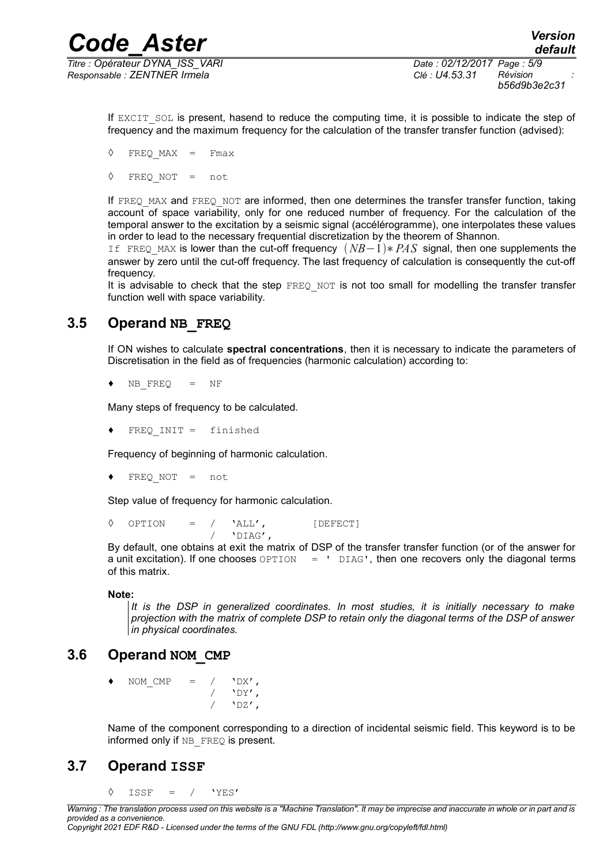*Titre : Opérateur DYNA\_ISS\_VARI Date : 02/12/2017 Page : 5/9 Responsable : ZENTNER Irmela Clé : U4.53.31 Révision :*

If EXCIT SOL is present, hasend to reduce the computing time, it is possible to indicate the step of frequency and the maximum frequency for the calculation of the transfer transfer function (advised):

 $\Diamond$  FREO MAX = Fmax

◊ FREQ\_NOT = not

If FREQ MAX and FREQ NOT are informed, then one determines the transfer transfer function, taking account of space variability, only for one reduced number of frequency. For the calculation of the temporal answer to the excitation by a seismic signal (accélérogramme), one interpolates these values in order to lead to the necessary frequential discretization by the theorem of Shannon.

If FREQ\_MAX is lower than the cut-off frequency *NB*−1∗*PAS* signal, then one supplements the answer by zero until the cut-off frequency. The last frequency of calculation is consequently the cut-off frequency.

It is advisable to check that the step  $FREEQ NOT$  is not too small for modelling the transfer transfer function well with space variability.

## **3.5 Operand NB\_FREQ**

If ON wishes to calculate **spectral concentrations**, then it is necessary to indicate the parameters of Discretisation in the field as of frequencies (harmonic calculation) according to:

 $\blacklozenge$  NB FREQ = NF

Many steps of frequency to be calculated.

♦ FREQ\_INIT = finished

Frequency of beginning of harmonic calculation.

 $FREQNOT = not$ 

Step value of frequency for harmonic calculation.

 $\begin{array}{cccc} \lozenge & \text{OPTION} & = & / & 'ALL', & \text{[DEFECT]} \ & & / & 'DIAG', \end{array}$ / 'DIAG',

By default, one obtains at exit the matrix of DSP of the transfer transfer function (or of the answer for a unit excitation). If one chooses  $\text{OPTION} = \text{PIAG}$ , then one recovers only the diagonal terms of this matrix.

#### **Note:**

*It is the DSP in generalized coordinates. In most studies, it is initially necessary to make projection with the matrix of complete DSP to retain only the diagonal terms of the DSP of answer in physical coordinates.* 

## **3.6 Operand NOM\_CMP**

NOM CMP =  $/$  'DX',  $'$ DY',  $'$ <sub>DZ</sub> $'$ ,

Name of the component corresponding to a direction of incidental seismic field. This keyword is to be informed only if NB FREQ is present.

## **3.7 Operand ISSF**

◊ ISSF = / 'YES'

*Copyright 2021 EDF R&D - Licensed under the terms of the GNU FDL (http://www.gnu.org/copyleft/fdl.html)*

*Warning : The translation process used on this website is a "Machine Translation". It may be imprecise and inaccurate in whole or in part and is provided as a convenience.*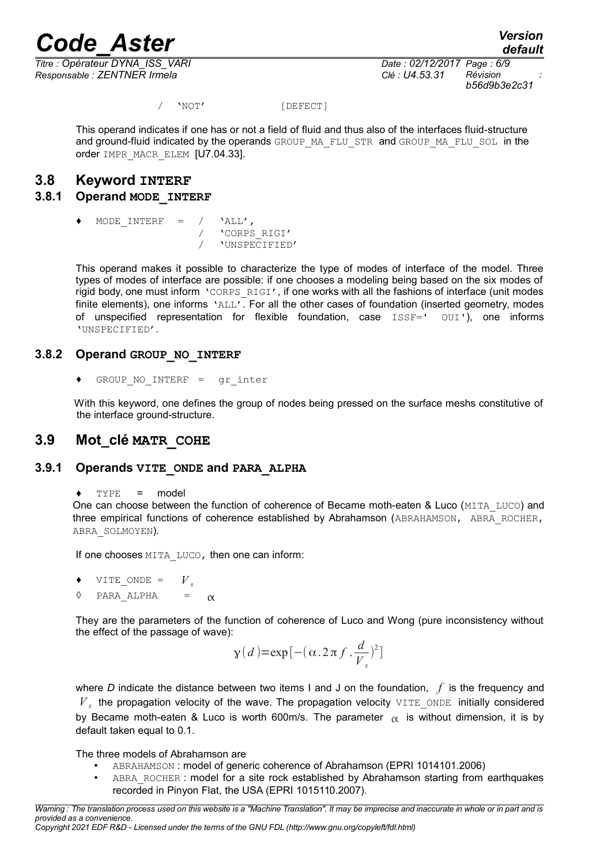*<i>Titre : Opérateur DYNA\_ISS\_VARI Responsable : ZENTNER Irmela Clé : U4.53.31 Révision :*

*default b56d9b3e2c31*

/ 'NOT' [DEFECT]

This operand indicates if one has or not a field of fluid and thus also of the interfaces fluid-structure and ground-fluid indicated by the operands GROUP\_MA\_FLU\_STR and GROUP\_MA\_FLU\_SOL in the order IMPR\_MACR\_ELEM [U7.04.33].

#### **3.8 Keyword INTERF**

#### **3.8.1 Operand MODE\_INTERF**

MODE INTERF =  $/$  'ALL', / 'CORPS\_RIGI' / 'UNSPECIFIED'

This operand makes it possible to characterize the type of modes of interface of the model. Three types of modes of interface are possible: if one chooses a modeling being based on the six modes of rigid body, one must inform 'CORPS RIGI', if one works with all the fashions of interface (unit modes finite elements), one informs 'ALL'. For all the other cases of foundation (inserted geometry, modes of unspecified representation for flexible foundation, case ISSF=' OUI'), one informs 'UNSPECIFIED'.

#### **3.8.2 Operand GROUP\_NO\_INTERF**

 $GROUP NO INTERF = qr inter$ 

With this keyword, one defines the group of nodes being pressed on the surface meshs constitutive of the interface ground-structure.

#### **3.9 Mot\_clé MATR\_COHE**

#### **3.9.1 Operands VITE\_ONDE and PARA\_ALPHA**

 $\leftrightarrow$  TYPE = model

One can choose between the function of coherence of Became moth-eaten & Luco (MITA\_LUCO) and three empirical functions of coherence established by Abrahamson (ABRAHAMSON, ABRA\_ROCHER, ABRA\_SOLMOYEN).

If one chooses MITA LUCO, then one can inform:

- $\bullet$  VITE ONDE =  $V_s$
- $\Diamond$  PARA ALPHA =  $\alpha$

They are the parameters of the function of coherence of Luco and Wong (pure inconsistency without the effect of the passage of wave):

$$
\gamma(d) = \exp[-(\alpha . 2 \pi f . \frac{d}{V_s})^2]
$$

where *D* indicate the distance between two items I and J on the foundation, *f* is the frequency and *V s* the propagation velocity of the wave. The propagation velocity VITE\_ONDE initially considered by Became moth-eaten & Luco is worth 600m/s. The parameter  $\alpha$  is without dimension, it is by default taken equal to 0.1.

The three models of Abrahamson are

- ABRAHAMSON : model of generic coherence of Abrahamson (EPRI 1014101.2006)
- ABRA\_ROCHER : model for a site rock established by Abrahamson starting from earthquakes recorded in Pinyon Flat, the USA (EPRI 1015110.2007).

*Copyright 2021 EDF R&D - Licensed under the terms of the GNU FDL (http://www.gnu.org/copyleft/fdl.html)*

*Warning : The translation process used on this website is a "Machine Translation". It may be imprecise and inaccurate in whole or in part and is provided as a convenience.*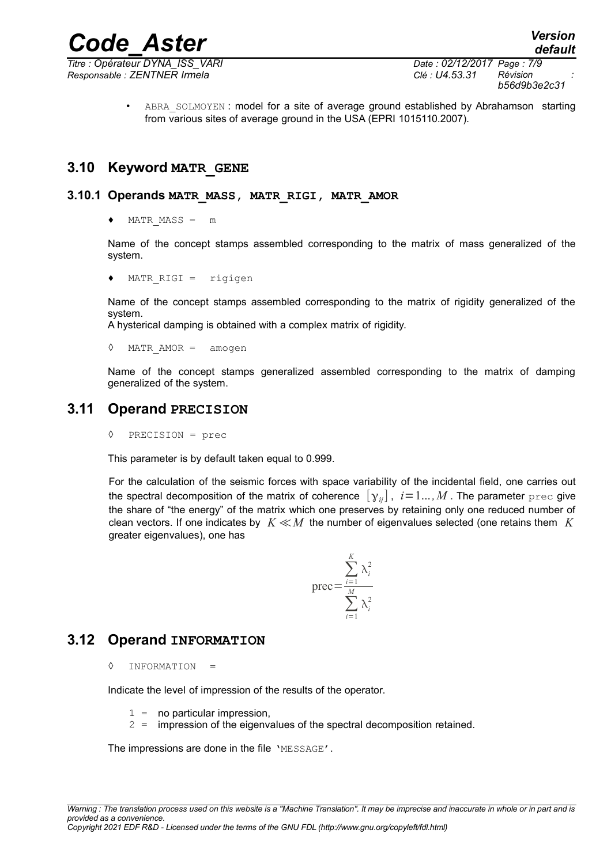*Titre : Opérateur DYNA\_ISS\_VARI Date : 02/12/2017 Page : 7/9*

*b56d9b3e2c31*

ABRA SOLMOYEN : model for a site of average ground established by Abrahamson starting from various sites of average ground in the USA (EPRI 1015110.2007).

### **3.10 Keyword MATR\_GENE**

#### **3.10.1 Operands MATR\_MASS, MATR\_RIGI, MATR\_AMOR**

 $MATR$   $MASS = m$ 

Name of the concept stamps assembled corresponding to the matrix of mass generalized of the system.

 $MATR$  RIGI = rigigen

Name of the concept stamps assembled corresponding to the matrix of rigidity generalized of the system.

A hysterical damping is obtained with a complex matrix of rigidity.

◊ MATR\_AMOR = amogen

Name of the concept stamps generalized assembled corresponding to the matrix of damping generalized of the system.

### **3.11 Operand PRECISION**

◊ PRECISION = prec

This parameter is by default taken equal to 0.999.

For the calculation of the seismic forces with space variability of the incidental field, one carries out the spectral decomposition of the matrix of coherence  $[y_{ij}]$ ,  $i=1...$ , M. The parameter prec give the share of "the energy" of the matrix which one preserves by retaining only one reduced number of clean vectors. If one indicates by *K* ≪*M* the number of eigenvalues selected (one retains them *K* greater eigenvalues), one has

$$
\text{prec} = \frac{\sum_{i=1}^{K} \lambda_i^2}{\sum_{i=1}^{M} \lambda_i^2}
$$

### **3.12 Operand INFORMATION**

◊ INFORMATION =

Indicate the level of impression of the results of the operator.

- $1 =$  no particular impression,
- 2 = impression of the eigenvalues of the spectral decomposition retained.

The impressions are done in the file 'MESSAGE'.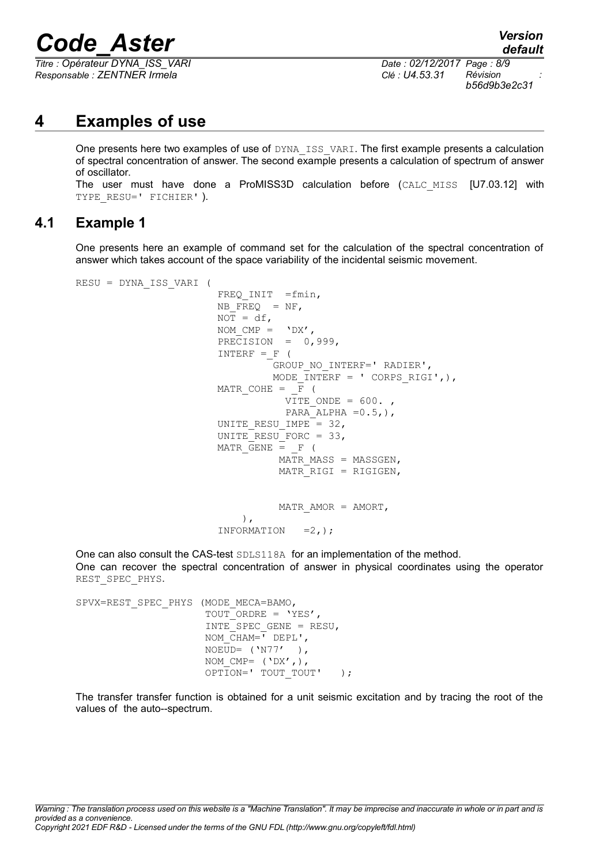*Titre : Opérateur DYNA\_ISS\_VARI Date : 02/12/2017 Page : 8/9 Responsable : ZENTNER Irmela Clé : U4.53.31 Révision :*

*b56d9b3e2c31*

## **4 Examples of use**

One presents here two examples of use of DYNA ISS VARI. The first example presents a calculation of spectral concentration of answer. The second example presents a calculation of spectrum of answer of oscillator.

The user must have done a ProMISS3D calculation before (CALC\_MISS [U7.03.12] with TYPE RESU=' FICHIER' ).

#### **4.1 Example 1**

One presents here an example of command set for the calculation of the spectral concentration of answer which takes account of the space variability of the incidental seismic movement.

```
RESU = DYNA_ISS_VARI ( 
                              FREQ INIT =fmin,NB FREQ = NF,
                              NOT = df,NOM CMP = 'DX',PRECISION = 0,999,
                              INTERF = F (
                                           GROUP_NO_INTERF=' RADIER',
                                          MODE INTERF = ' CORPS RIGI',),
                              MATR COHE = \overline{F} (
                                             VITE ONDE = 600.PARA ALPHA =0.5,),
                              UNITE RESU IMPE = 32,
                              UNITE RESU FORC = 33,
                              MATR GENE = F (
                                            MATR MASS = MASSGEN,
                                            MATR RIGI = RIGIGEN,
                                            MATR AMOR = AMORT,
\,, \,, \,, \,, \,, \,, \,, \,, \,, \,, \,, \,, \,, \,, \,, \,, \,, \,, \,, \,, \,, \,, \,, \,, \,, \,, \,, \,, \,, \,, \,, \,, \,, \,, \,, \,, \,,
                               INFORMATION =2,);
```
One can also consult the CAS-test SDLS118A for an implementation of the method. One can recover the spectral concentration of answer in physical coordinates using the operator REST\_SPEC\_PHYS.

```
SPVX=REST_SPEC_PHYS (MODE_MECA=BAMO,
                     TOUT ORDRE = 'YES',
                      INTE_SPEC_GENE = RESU,
                     NOM CHAM = I DEPL',
                     NOEUD= ('NT7'),
                     NOM CMP= ('DX',),
                     OPTION=' TOUT TOUT' );
```
The transfer transfer function is obtained for a unit seismic excitation and by tracing the root of the values of the auto--spectrum.